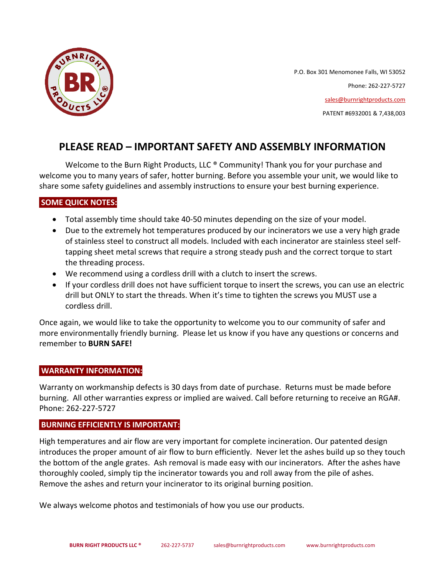

P.O. Box 301 Menomonee Falls, WI 53052 Phone: 262-227-5727 [sales@burnrightproducts.com](mailto:sales@burnrightproducts.com) PATENT #6932001 & 7,438,003

# **PLEASE READ – IMPORTANT SAFETY AND ASSEMBLY INFORMATION**

Welcome to the Burn Right Products, LLC ® Community! Thank you for your purchase and welcome you to many years of safer, hotter burning. Before you assemble your unit, we would like to share some safety guidelines and assembly instructions to ensure your best burning experience.

### **SOME QUICK NOTES:**

- Total assembly time should take 40-50 minutes depending on the size of your model.
- Due to the extremely hot temperatures produced by our incinerators we use a very high grade of stainless steel to construct all models. Included with each incinerator are stainless steel selftapping sheet metal screws that require a strong steady push and the correct torque to start the threading process.
- We recommend using a cordless drill with a clutch to insert the screws.
- If your cordless drill does not have sufficient torque to insert the screws, you can use an electric drill but ONLY to start the threads. When it's time to tighten the screws you MUST use a cordless drill.

Once again, we would like to take the opportunity to welcome you to our community of safer and more environmentally friendly burning. Please let us know if you have any questions or concerns and remember to **BURN SAFE!**

### **WARRANTY INFORMATION:**

Warranty on workmanship defects is 30 days from date of purchase. Returns must be made before burning. All other warranties express or implied are waived. Call before returning to receive an RGA#. Phone: 262-227-5727

### **BURNING EFFICIENTLY IS IMPORTANT:**

High temperatures and air flow are very important for complete incineration. Our patented design introduces the proper amount of air flow to burn efficiently. Never let the ashes build up so they touch the bottom of the angle grates. Ash removal is made easy with our incinerators. After the ashes have thoroughly cooled, simply tip the incinerator towards you and roll away from the pile of ashes. Remove the ashes and return your incinerator to its original burning position.

We always welcome photos and testimonials of how you use our products.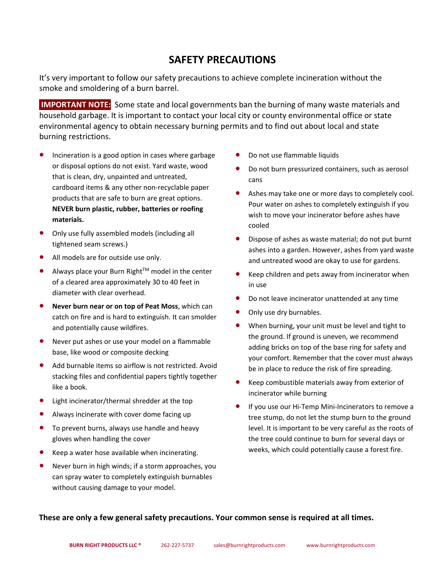# **SAFETY PRECAUTIONS**

It's very important to follow our safety precautions to achieve complete incineration without the smoke and smoldering of a burn barrel.

**IMPORTANT NOTE:** Some state and local governments ban the burning of many waste materials and household garbage. It is important to contact your local city or county environmental office or state environmental agency to obtain necessary burning permits and to find out about local and state burning restrictions.

- Incineration is a good option in cases where garbage or disposal options do not exist. Yard waste, wood that is clean, dry, unpainted and untreated, cardboard items & any other non-recyclable paper products that are safe to burn are great options. **NEVER burn plastic, rubber, batteries or roofing materials.**
- Only use fully assembled models (including all tightened seam screws.)
- All models are for outside use only.
- Always place your Burn Right™ model in the center of a cleared area approximately 30 to 40 feet in diameter with clear overhead.
- **Never burn near or on top of Peat Moss**, which can catch on fire and is hard to extinguish. It can smolder and potentially cause wildfires.
- Never put ashes or use your model on a flammable base, like wood or composite decking
- Add burnable items so airflow is not restricted. Avoid stacking files and confidential papers tightly together like a book.
- Light incinerator/thermal shredder at the top
- Always incinerate with cover dome facing up
- To prevent burns, always use handle and heavy gloves when handling the cover
- Keep a water hose available when incinerating.
- Never burn in high winds; if a storm approaches, you can spray water to completely extinguish burnables without causing damage to your model.
- Do not use flammable liquids
- Do not burn pressurized containers, such as aerosol cans
- Ashes may take one or more days to completely cool. Pour water on ashes to completely extinguish if you wish to move your incinerator before ashes have cooled
- Dispose of ashes as waste material; do not put burnt ashes into a garden. However, ashes from yard waste and untreated wood are okay to use for gardens.
- Keep children and pets away from incinerator when in use
- Do not leave incinerator unattended at any time
- Only use dry burnables.
- When burning, your unit must be level and tight to the ground. If ground is uneven, we recommend adding bricks on top of the base ring for safety and your comfort. Remember that the cover must always be in place to reduce the risk of fire spreading.
- Keep combustible materials away from exterior of incinerator while burning
- If you use our Hi-Temp Mini-Incinerators to remove a tree stump, do not let the stump burn to the ground level. It is important to be very careful as the roots of the tree could continue to burn for several days or weeks, which could potentially cause a forest fire.

**These are only a few general safety precautions. Your common sense is required at all times.**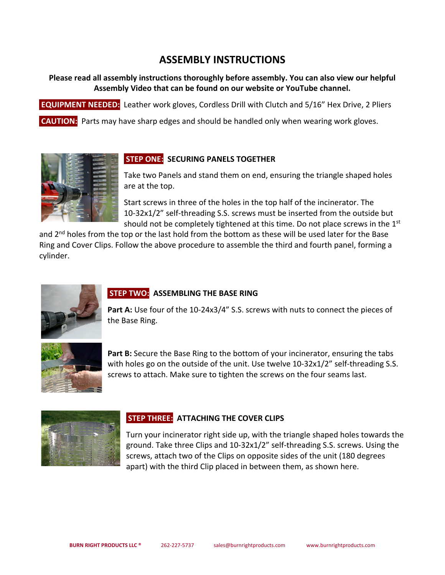# **ASSEMBLY INSTRUCTIONS**

### **Please read all assembly instructions thoroughly before assembly. You can also view our helpful Assembly Video that can be found on our website or YouTube channel.**

**EQUIPMENT NEEDED:** Leather work gloves, Cordless Drill with Clutch and 5/16" Hex Drive, 2 Pliers

**CAUTION:** Parts may have sharp edges and should be handled only when wearing work gloves.



## **STEP ONE: SECURING PANELS TOGETHER**

Take two Panels and stand them on end, ensuring the triangle shaped holes are at the top.

Start screws in three of the holes in the top half of the incinerator. The 10-32x1/2" self-threading S.S. screws must be inserted from the outside but should not be completely tightened at this time. Do not place screws in the 1<sup>st</sup>

and  $2<sup>nd</sup>$  holes from the top or the last hold from the bottom as these will be used later for the Base Ring and Cover Clips. Follow the above procedure to assemble the third and fourth panel, forming a cylinder.



# **STEP TWO: ASSEMBLING THE BASE RING**

Part A: Use four of the 10-24x3/4" S.S. screws with nuts to connect the pieces of the Base Ring.



**Part B:** Secure the Base Ring to the bottom of your incinerator, ensuring the tabs with holes go on the outside of the unit. Use twelve 10-32x1/2" self-threading S.S. screws to attach. Make sure to tighten the screws on the four seams last.



## **STEP THREE: ATTACHING THE COVER CLIPS**

Turn your incinerator right side up, with the triangle shaped holes towards the ground. Take three Clips and 10-32x1/2" self-threading S.S. screws. Using the screws, attach two of the Clips on opposite sides of the unit (180 degrees apart) with the third Clip placed in between them, as shown here.